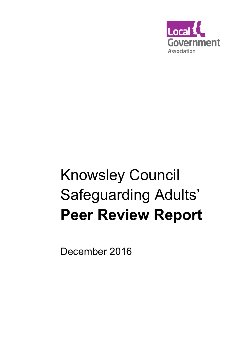

# Knowsley Council Safeguarding Adults' Peer Review Report

December 2016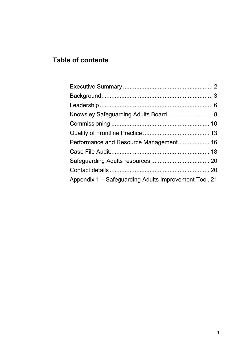# Table of contents

| Appendix 1 – Safeguarding Adults Improvement Tool. 21 |  |
|-------------------------------------------------------|--|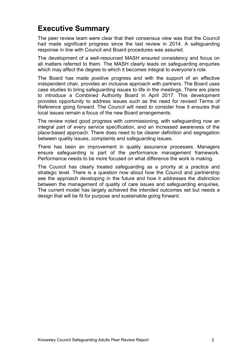# Executive Summary

The peer review team were clear that their consensus view was that the Council had made significant progress since the last review in 2014. A safeguarding response in line with Council and Board procedures was assured.

The development of a well-resourced MASH ensured consistency and focus on all matters referred to them. The MASH clearly leads on safeguarding enquiries which may affect the degree to which it becomes integral to everyone's role.

The Board has made positive progress and with the support of an effective independent chair, provides an inclusive approach with partners. The Board uses case studies to bring safeguarding issues to life in the meetings. There are plans to introduce a Combined Authority Board in April 2017. This development provides opportunity to address issues such as the need for revised Terms of Reference going forward. The Council will need to consider how it ensures that local issues remain a focus of the new Board arrangements.

The review noted good progress with commissioning, with safeguarding now an integral part of every service specification, and an increased awareness of the place-based approach. There does need to be clearer definition and segregation between quality issues, complaints and safeguarding issues.

There has been an improvement in quality assurance processes. Managers ensure safeguarding is part of the performance management framework. Performance needs to be more focused on what difference the work is making.

The Council has clearly treated safeguarding as a priority at a practice and strategic level. There is a question now about how the Council and partnership see the approach developing in the future and how it addresses the distinction between the management of quality of care issues and safeguarding enquiries. The current model has largely achieved the intended outcomes set but needs a design that will be fit for purpose and sustainable going forward.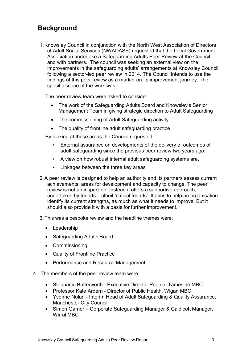## **Background**

1. Knowsley Council in conjunction with the North West Association of Directors of Adult Social Services (NWADASS) requested that the Local Government Association undertake a Safeguarding Adults Peer Review at the Council and with partners. The council was seeking an external view on the improvements in the safeguarding adults' arrangements at Knowsley Council following a sector-led peer review in 2014. The Council intends to use the findings of this peer review as a marker on its improvement journey. The specific scope of the work was:

The peer review team were asked to consider:

- The work of the Safeguarding Adults Board and Knowsley's Senior Management Team in giving strategic direction to Adult Safeguarding
- The commissioning of Adult Safeguarding activity
- The quality of frontline adult safeguarding practice

By looking at these areas the Council requested:

- External assurance on developments of the delivery of outcomes of adult safeguarding since the previous peer review two years ago.
- A view on how robust internal adult safeguarding systems are.
- Linkages between the three key areas
- 2. A peer review is designed to help an authority and its partners assess current achievements, areas for development and capacity to change. The peer review is not an inspection. Instead it offers a supportive approach, undertaken by friends – albeit 'critical friends'. It aims to help an organisation identify its current strengths, as much as what it needs to improve. But it should also provide it with a basis for further improvement.
- 3. This was a bespoke review and the headline themes were:
	- Leadership
	- Safeguarding Adults Board
	- Commissioning
	- Quality of Frontline Practice
	- Performance and Resource Management
- 4. The members of the peer review team were:
	- Stephanie Butterworth Executive Director People, Tameside MBC
	- Professor Kate Ardern Director of Public Health, Wigan MBC
	- Yvonne Nolan Interim Head of Adult Safeguarding & Quality Assurance, Manchester City Council
	- Simon Garner Corporate Safeguarding Manager & Caldicott Manager, Wirral MBC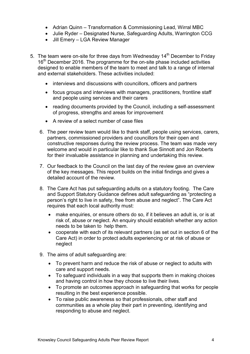- Adrian Quinn Transformation & Commissioning Lead, Wirral MBC
- Julie Ryder Designated Nurse, Safeguarding Adults, Warrington CCG
- Jill Emery LGA Review Manager
- 5. The team were on-site for three days from Wednesday  $14<sup>th</sup>$  December to Friday 16<sup>th</sup> December 2016. The programme for the on-site phase included activities designed to enable members of the team to meet and talk to a range of internal and external stakeholders. These activities included:
	- interviews and discussions with councillors, officers and partners
	- focus groups and interviews with managers, practitioners, frontline staff and people using services and their carers
	- reading documents provided by the Council, including a self-assessment of progress, strengths and areas for improvement
	- A review of a select number of case files
	- 6. The peer review team would like to thank staff, people using services, carers, partners, commissioned providers and councillors for their open and constructive responses during the review process. The team was made very welcome and would in particular like to thank Sue Sinnott and Jon Roberts for their invaluable assistance in planning and undertaking this review.
	- 7. Our feedback to the Council on the last day of the review gave an overview of the key messages. This report builds on the initial findings and gives a detailed account of the review.
	- 8. The Care Act has put safeguarding adults on a statutory footing. The Care and Support Statutory Guidance defines adult safeguarding as "protecting a person's right to live in safety, free from abuse and neglect". The Care Act requires that each local authority must:
		- make enquiries, or ensure others do so, if it believes an adult is, or is at risk of, abuse or neglect. An enquiry should establish whether any action needs to be taken to help them.
		- cooperate with each of its relevant partners (as set out in section 6 of the Care Act) in order to protect adults experiencing or at risk of abuse or neglect
	- 9. The aims of adult safeguarding are:
		- To prevent harm and reduce the risk of abuse or neglect to adults with care and support needs.
		- To safeguard individuals in a way that supports them in making choices and having control in how they choose to live their lives.
		- To promote an outcomes approach in safeguarding that works for people resulting in the best experience possible.
		- To raise public awareness so that professionals, other staff and communities as a whole play their part in preventing, identifying and responding to abuse and neglect.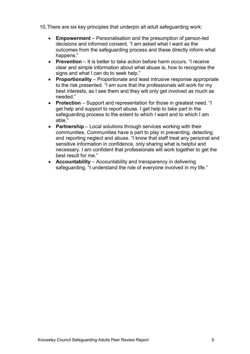- 10. There are six key principles that underpin all adult safeguarding work:
	- Empowerment Personalisation and the presumption of person-led decisions and informed consent. "I am asked what I want as the outcomes from the safeguarding process and these directly inform what happens."
	- **Prevention**  $-$  It is better to take action before harm occurs. "I receive clear and simple information about what abuse is, how to recognise the signs and what I can do to seek help."
	- Proportionality Proportionate and least intrusive response appropriate to the risk presented. "I am sure that the professionals will work for my best interests, as I see them and they will only get involved as much as needed."
	- Protection Support and representation for those in greatest need. "I get help and support to report abuse. I get help to take part in the safeguarding process to the extent to which I want and to which I am able."
	- Partnership Local solutions through services working with their communities. Communities have a part to play in preventing, detecting and reporting neglect and abuse. "I know that staff treat any personal and sensitive information in confidence, only sharing what is helpful and necessary. I am confident that professionals will work together to get the best result for me."
	- Accountability Accountability and transparency in delivering safeguarding. "I understand the role of everyone involved in my life."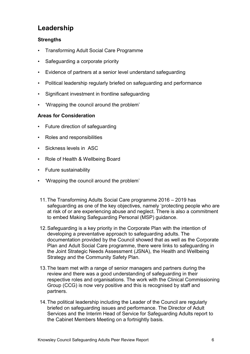# Leadership

#### **Strengths**

- Transforming Adult Social Care Programme
- Safeguarding a corporate priority
- Evidence of partners at a senior level understand safeguarding
- Political leadership regularly briefed on safeguarding and performance
- Significant investment in frontline safeguarding
- 'Wrapping the council around the problem'

#### Areas for Consideration

- Future direction of safeguarding
- Roles and responsibilities
- Sickness levels in ASC
- Role of Health & Wellbeing Board
- Future sustainability
- 'Wrapping the council around the problem'
- 11. The Transforming Adults Social Care programme 2016 2019 has safeguarding as one of the key objectives, namely 'protecting people who are at risk of or are experiencing abuse and neglect. There is also a commitment to embed Making Safeguarding Personal (MSP) guidance.
- 12. Safeguarding is a key priority in the Corporate Plan with the intention of developing a preventative approach to safeguarding adults. The documentation provided by the Council showed that as well as the Corporate Plan and Adult Social Care programme, there were links to safeguarding in the Joint Strategic Needs Assessment (JSNA), the Health and Wellbeing Strategy and the Community Safety Plan.
- 13. The team met with a range of senior managers and partners during the review and there was a good understanding of safeguarding in their respective roles and organisations. The work with the Clinical Commissioning Group (CCG) is now very positive and this is recognised by staff and partners.
- 14. The political leadership including the Leader of the Council are regularly briefed on safeguarding issues and performance. The Director of Adult Services and the Interim Head of Service for Safeguarding Adults report to the Cabinet Members Meeting on a fortnightly basis.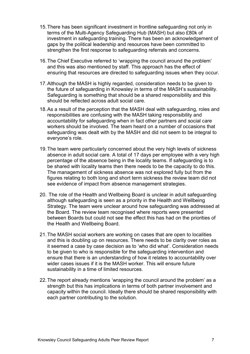- 15. There has been significant investment in frontline safeguarding not only in terms of the Multi-Agency Safeguarding Hub (MASH) but also £80k of investment in safeguarding training. There has been an acknowledgement of gaps by the political leadership and resources have been committed to strengthen the first response to safeguarding referrals and concerns.
- 16. The Chief Executive referred to 'wrapping the council around the problem' and this was also mentioned by staff. This approach has the effect of ensuring that resources are directed to safeguarding issues when they occur.
- 17. Although the MASH is highly regarded, consideration needs to be given to the future of safeguarding in Knowsley in terms of the MASH's sustainability. Safeguarding is something that should be a shared responsibility and this should be reflected across adult social care.
- 18. As a result of the perception that the MASH deal with safeguarding, roles and responsibilities are confusing with the MASH taking responsibility and accountability for safeguarding when in fact other partners and social care workers should be involved. The team heard on a number of occasions that safeguarding was dealt with by the MASH and did not seem to be integral to everyone's role.
- 19. The team were particularly concerned about the very high levels of sickness absence in adult social care. A total of 17 days per employee with a very high percentage of the absence being in the locality teams. If safeguarding is to be shared with locality teams then there needs to be the capacity to do this. The management of sickness absence was not explored fully but from the figures relating to both long and short term sickness the review team did not see evidence of impact from absence management strategies.
- 20. The role of the Health and Wellbeing Board is unclear in adult safeguarding although safeguarding is seen as a priority in the Health and Wellbeing Strategy. The team were unclear around how safeguarding was addressed at the Board. The review team recognised where reports were presented between Boards but could not see the effect this has had on the priorities of the Health and Wellbeing Board.
- 21. The MASH social workers are working on cases that are open to localities and this is doubling up on resources. There needs to be clarity over roles as it seemed a case by case decision as to 'who did what'. Consideration needs to be given to who is responsible for the safeguarding intervention and ensure that there is an understanding of how it relates to accountability over wider cases issues if it is the MASH worker. This will ensure future sustainability in a time of limited resources.
- 22. The report already mentions 'wrapping the council around the problem' as a strength but this has implications in terms of both partner involvement and capacity within the council. Ideally there should be shared responsibility with each partner contributing to the solution.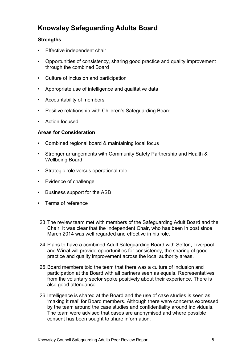# Knowsley Safeguarding Adults Board

#### **Strengths**

- Effective independent chair
- Opportunities of consistency, sharing good practice and quality improvement through the combined Board
- Culture of inclusion and participation
- Appropriate use of intelligence and qualitative data
- Accountability of members
- Positive relationship with Children's Safeguarding Board
- Action focused

#### Areas for Consideration

- Combined regional board & maintaining local focus
- Stronger arrangements with Community Safety Partnership and Health & Wellbeing Board
- Strategic role versus operational role
- Evidence of challenge
- Business support for the ASB
- Terms of reference
- 23. The review team met with members of the Safeguarding Adult Board and the Chair. It was clear that the Independent Chair, who has been in post since March 2014 was well regarded and effective in his role.
- 24. Plans to have a combined Adult Safeguarding Board with Sefton, Liverpool and Wirral will provide opportunities for consistency, the sharing of good practice and quality improvement across the local authority areas.
- 25. Board members told the team that there was a culture of inclusion and participation at the Board with all partners seen as equals. Representatives from the voluntary sector spoke positively about their experience. There is also good attendance.
- 26. Intelligence is shared at the Board and the use of case studies is seen as 'making it real' for Board members. Although there were concerns expressed by the team around the case studies and confidentiality around individuals. The team were advised that cases are anonymised and where possible consent has been sought to share information.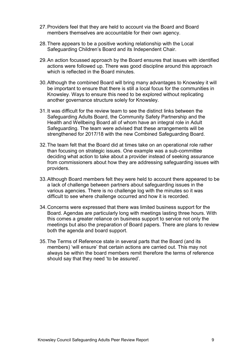- 27. Providers feel that they are held to account via the Board and Board members themselves are accountable for their own agency.
- 28. There appears to be a positive working relationship with the Local Safeguarding Children's Board and its Independent Chair.
- 29. An action focussed approach by the Board ensures that issues with identified actions were followed up. There was good discipline around this approach which is reflected in the Board minutes.
- 30. Although the combined Board will bring many advantages to Knowsley it will be important to ensure that there is still a local focus for the communities in Knowsley. Ways to ensure this need to be explored without replicating another governance structure solely for Knowsley.
- 31. It was difficult for the review team to see the distinct links between the Safeguarding Adults Board, the Community Safety Partnership and the Health and Wellbeing Board all of whom have an integral role in Adult Safeguarding. The team were advised that these arrangements will be strengthened for 2017/18 with the new Combined Safeguarding Board.
- 32. The team felt that the Board did at times take on an operational role rather than focusing on strategic issues. One example was a sub-committee deciding what action to take about a provider instead of seeking assurance from commissioners about how they are addressing safeguarding issues with providers.
- 33. Although Board members felt they were held to account there appeared to be a lack of challenge between partners about safeguarding issues in the various agencies. There is no challenge log with the minutes so it was difficult to see where challenge occurred and how it is recorded.
- 34. Concerns were expressed that there was limited business support for the Board. Agendas are particularly long with meetings lasting three hours. With this comes a greater reliance on business support to service not only the meetings but also the preparation of Board papers. There are plans to review both the agenda and board support.
- 35. The Terms of Reference state in several parts that the Board (and its members) 'will ensure' that certain actions are carried out. This may not always be within the board members remit therefore the terms of reference should say that they need 'to be assured'.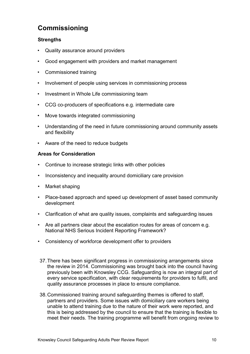## Commissioning

#### **Strengths**

- Quality assurance around providers
- Good engagement with providers and market management
- Commissioned training
- Involvement of people using services in commissioning process
- Investment in Whole Life commissioning team
- CCG co-producers of specifications e.g. intermediate care
- Move towards integrated commissioning
- Understanding of the need in future commissioning around community assets and flexibility
- Aware of the need to reduce budgets

#### Areas for Consideration

- Continue to increase strategic links with other policies
- Inconsistency and inequality around domiciliary care provision
- Market shaping
- Place-based approach and speed up development of asset based community development
- Clarification of what are quality issues, complaints and safeguarding issues
- Are all partners clear about the escalation routes for areas of concern e.g. National NHS Serious Incident Reporting Framework?
- Consistency of workforce development offer to providers
- 37. There has been significant progress in commissioning arrangements since the review in 2014. Commissioning was brought back into the council having previously been with Knowsley CCG. Safeguarding is now an integral part of every service specification, with clear requirements for providers to fulfil, and quality assurance processes in place to ensure compliance.
- 38. Commissioned training around safeguarding themes is offered to staff, partners and providers. Some issues with domiciliary care workers being unable to attend training due to the nature of their work were reported, and this is being addressed by the council to ensure that the training is flexible to meet their needs. The training programme will benefit from ongoing review to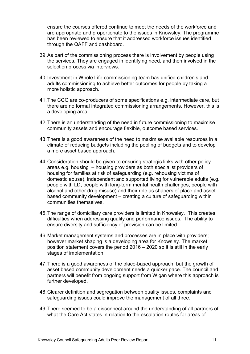ensure the courses offered continue to meet the needs of the workforce and are appropriate and proportionate to the issues in Knowsley. The programme has been reviewed to ensure that it addressed workforce issues identified through the QAFF and dashboard.

- 39. As part of the commissioning process there is involvement by people using the services. They are engaged in identifying need, and then involved in the selection process via interviews.
- 40. Investment in Whole Life commissioning team has unified children's and adults commissioning to achieve better outcomes for people by taking a more holistic approach.
- 41. The CCG are co-producers of some specifications e.g. intermediate care, but there are no formal integrated commissioning arrangements. However, this is a developing area.
- 42. There is an understanding of the need in future commissioning to maximise community assets and encourage flexible, outcome based services.
- 43. There is a good awareness of the need to maximise available resources in a climate of reducing budgets including the pooling of budgets and to develop a more asset based approach.
- 44. Consideration should be given to ensuring strategic links with other policy areas e.g. housing – housing providers as both specialist providers of housing for families at risk of safeguarding (e.g. rehousing victims of domestic abuse), independent and supported living for vulnerable adults (e.g. people with LD, people with long-term mental health challenges, people with alcohol and other drug misuse) and their role as shapers of place and asset based community development – creating a culture of safeguarding within communities themselves.
- 45. The range of domiciliary care providers is limited in Knowsley. This creates difficulties when addressing quality and performance issues. The ability to ensure diversity and sufficiency of provision can be limited.
- 46. Market management systems and processes are in place with providers; however market shaping is a developing area for Knowsley. The market position statement covers the period 2016 – 2020 so it is still in the early stages of implementation.
- 47. There is a good awareness of the place-based approach, but the growth of asset based community development needs a quicker pace. The council and partners will benefit from ongoing support from Wigan where this approach is further developed.
- 48. Clearer definition and segregation between quality issues, complaints and safeguarding issues could improve the management of all three.
- 49. There seemed to be a disconnect around the understanding of all partners of what the Care Act states in relation to the escalation routes for areas of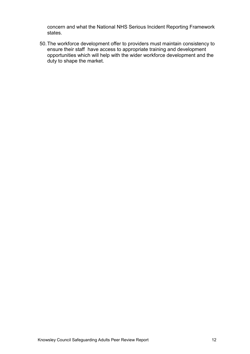concern and what the National NHS Serious Incident Reporting Framework states.

50. The workforce development offer to providers must maintain consistency to ensure their staff have access to appropriate training and development opportunities which will help with the wider workforce development and the duty to shape the market.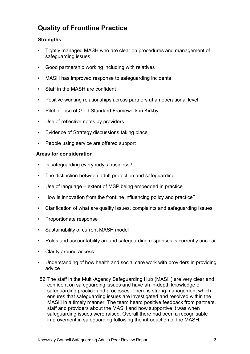# Quality of Frontline Practice

#### **Strengths**

- Tightly managed MASH who are clear on procedures and management of safeguarding issues
- Good partnership working including with relatives
- MASH has improved response to safeguarding incidents
- Staff in the MASH are confident
- Positive working relationships across partners at an operational level
- Pilot of use of Gold Standard Framework in Kirkby
- Use of reflective notes by providers
- Evidence of Strategy discussions taking place
- People using service are offered support

#### Areas for consideration

- Is safeguarding everybody's business?
- The distinction between adult protection and safeguarding
- Use of language extent of MSP being embedded in practice
- How is innovation from the frontline influencing policy and practice?
- Clarification of what are quality issues, complaints and safeguarding issues
- Proportionate response
- Sustainability of current MASH model
- Roles and accountability around safeguarding responses is currently unclear
- Clarity around access
- Understanding of how health and social care work with providers in providing advice
- 52. The staff in the Multi-Agency Safeguarding Hub (MASH) are very clear and confident on safeguarding issues and have an in-depth knowledge of safeguarding practice and processes. There is strong management which ensures that safeguarding issues are investigated and resolved within the MASH in a timely manner. The team heard positive feedback from partners, staff and providers about the MASH and how supportive it was when safeguarding issues were raised. Overall there had been a recognisable improvement in safeguarding following the introduction of the MASH.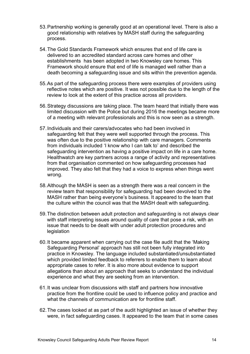- 53. Partnership working is generally good at an operational level. There is also a good relationship with relatives by MASH staff during the safeguarding process.
- 54. The Gold Standards Framework which ensures that end of life care is delivered to an accredited standard across care homes and other establishments has been adopted in two Knowsley care homes. This Framework should ensure that end of life is managed well rather than a death becoming a safeguarding issue and sits within the prevention agenda.
- 55. As part of the safeguarding process there were examples of providers using reflective notes which are positive. It was not possible due to the length of the review to look at the extent of this practice across all providers.
- 56. Strategy discussions are taking place. The team heard that initially there was limited discussion with the Police but during 2016 the meetings became more of a meeting with relevant professionals and this is now seen as a strength.
- 57. Individuals and their carers/advocates who had been involved in safeguarding felt that they were well supported through the process. This was often due to the positive relationship with care managers. Comments from individuals included 'I know who I can talk to' and described the safeguarding intervention as having a positive impact on life in a care home. Healthwatch are key partners across a range of activity and representatives from that organisation commented on how safeguarding processes had improved. They also felt that they had a voice to express when things went wrong.
- 58. Although the MASH is seen as a strength there was a real concern in the review team that responsibility for safeguarding had been devolved to the MASH rather than being everyone's business. It appeared to the team that the culture within the council was that the MASH dealt with safeguarding.
- 59. The distinction between adult protection and safeguarding is not always clear with staff interpreting issues around quality of care that pose a risk, with an issue that needs to be dealt with under adult protection procedures and legislation
- 60. It became apparent when carrying out the case file audit that the 'Making Safeguarding Personal' approach has still not been fully integrated into practice in Knowsley. The language included substantiated/unsubstantiated which provided limited feedback to referrers to enable them to learn about appropriate cases to refer. It is also more about evidence to support allegations than about an approach that seeks to understand the individual experience and what they are seeking from an intervention.
- 61. It was unclear from discussions with staff and partners how innovative practice from the frontline could be used to influence policy and practice and what the channels of communication are for frontline staff.
- 62. The cases looked at as part of the audit highlighted an issue of whether they were, in fact safeguarding cases. It appeared to the team that in some cases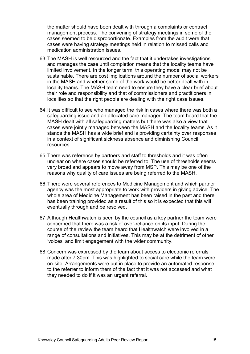the matter should have been dealt with through a complaints or contract management process. The convening of strategy meetings in some of the cases seemed to be disproportionate. Examples from the audit were that cases were having strategy meetings held in relation to missed calls and medication administration issues.

- 63. The MASH is well resourced and the fact that it undertakes investigations and manages the case until completion means that the locality teams have limited involvement. In the longer term, this operating model may not be sustainable. There are cost implications around the number of social workers in the MASH and whether some of the work would be better dealt with in locality teams. The MASH team need to ensure they have a clear brief about their role and responsibility and that of commissioners and practitioners in localities so that the right people are dealing with the right case issues.
- 64. It was difficult to see who managed the risk in cases where there was both a safeguarding issue and an allocated care manager. The team heard that the MASH dealt with all safeguarding matters but there was also a view that cases were jointly managed between the MASH and the locality teams. As it stands the MASH has a wide brief and is providing certainty over responses in a context of significant sickness absence and diminishing Council resources.
- 65. There was reference by partners and staff to thresholds and it was often unclear on where cases should be referred to. The use of thresholds seems very broad and appears to move away from MSP. This may be one of the reasons why quality of care issues are being referred to the MASH.
- 66. There were several references to Medicine Management and which partner agency was the most appropriate to work with providers in giving advice. The whole area of Medicine Management has been raised in the past and there has been training provided as a result of this so it is expected that this will eventually through and be resolved.
- 67. Although Healthwatch is seen by the council as a key partner the team were concerned that there was a risk of over-reliance on its input. During the course of the review the team heard that Healthwatch were involved in a range of consultations and initiatives. This may be at the detriment of other 'voices' and limit engagement with the wider community.
- 68. Concern was expressed by the team about access to electronic referrals made after 7.30pm. This was highlighted to social care while the team were on-site. Arrangements were put in place to provide an automated response to the referrer to inform them of the fact that it was not accessed and what they needed to do if it was an urgent referral.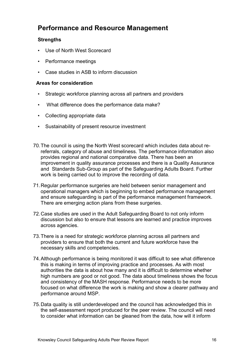## Performance and Resource Management

#### **Strengths**

- Use of North West Scorecard
- Performance meetings
- Case studies in ASB to inform discussion

#### Areas for consideration

- Strategic workforce planning across all partners and providers
- What difference does the performance data make?
- Collecting appropriate data
- Sustainability of present resource investment
- 70. The council is using the North West scorecard which includes data about rereferrals, category of abuse and timeliness. The performance information also provides regional and national comparative data. There has been an improvement in quality assurance processes and there is a Quality Assurance and Standards Sub-Group as part of the Safeguarding Adults Board. Further work is being carried out to improve the recording of data.
- 71. Regular performance surgeries are held between senior management and operational managers which is beginning to embed performance management and ensure safeguarding is part of the performance management framework. There are emerging action plans from these surgeries.
- 72. Case studies are used in the Adult Safeguarding Board to not only inform discussion but also to ensure that lessons are learned and practice improves across agencies.
- 73. There is a need for strategic workforce planning across all partners and providers to ensure that both the current and future workforce have the necessary skills and competencies.
- 74. Although performance is being monitored it was difficult to see what difference this is making in terms of improving practice and processes. As with most authorities the data is about how many and it is difficult to determine whether high numbers are good or not good. The data about timeliness shows the focus and consistency of the MASH response. Performance needs to be more focused on what difference the work is making and show a clearer pathway and performance around MSP.
- 75. Data quality is still underdeveloped and the council has acknowledged this in the self-assessment report produced for the peer review. The council will need to consider what information can be gleaned from the data, how will it inform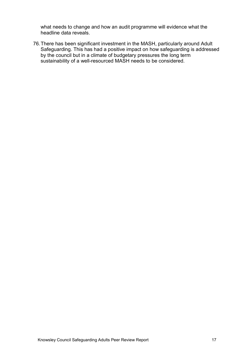what needs to change and how an audit programme will evidence what the headline data reveals.

76. There has been significant investment in the MASH, particularly around Adult Safeguarding. This has had a positive impact on how safeguarding is addressed by the council but in a climate of budgetary pressures the long term sustainability of a well-resourced MASH needs to be considered.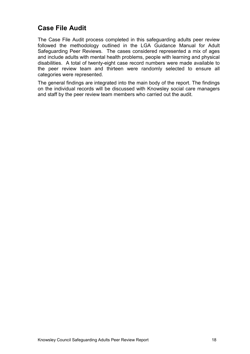## Case File Audit

The Case File Audit process completed in this safeguarding adults peer review followed the methodology outlined in the LGA Guidance Manual for Adult Safeguarding Peer Reviews. The cases considered represented a mix of ages and include adults with mental health problems, people with learning and physical disabilities. A total of twenty-eight case record numbers were made available to the peer review team and thirteen were randomly selected to ensure all categories were represented.

The general findings are integrated into the main body of the report. The findings on the individual records will be discussed with Knowsley social care managers and staff by the peer review team members who carried out the audit.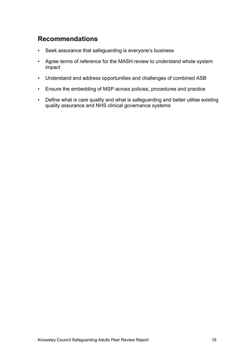## Recommendations

- Seek assurance that safeguarding is everyone's business
- Agree terms of reference for the MASH review to understand whole system impact
- Understand and address opportunities and challenges of combined ASB
- Ensure the embedding of MSP across policies, procedures and practice
- Define what is care quality and what is safeguarding and better utilise existing quality assurance and NHS clinical governance systems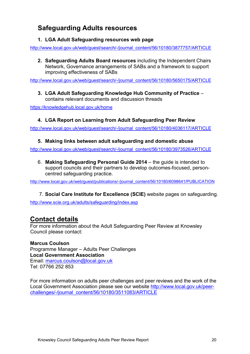# Safeguarding Adults resources

#### 1. LGA Adult Safeguarding resources web page

http://www.local.gov.uk/web/guest/search/-/journal\_content/56/10180/3877757/ARTICLE

2. Safeguarding Adults Board resources including the Independent Chairs Network, Governance arrangements of SABs and a framework to support improving effectiveness of SABs

http://www.local.gov.uk/web/guest/search/-/journal\_content/56/10180/5650175/ARTICLE

3. LGA Adult Safeguarding Knowledge Hub Community of Practice – contains relevant documents and discussion threads

https://knowledgehub.local.gov.uk/home

#### 4. LGA Report on Learning from Adult Safeguarding Peer Review

http://www.local.gov.uk/web/guest/search/-/journal\_content/56/10180/4036117/ARTICLE

#### 5. Making links between adult safeguarding and domestic abuse

http://www.local.gov.uk/web/guest/search/-/journal\_content/56/10180/3973526/ARTICLE

6. Making Safeguarding Personal Guide 2014 – the guide is intended to support councils and their partners to develop outcomes-focused, personcentred safeguarding practice.

http://www.local.gov.uk/web/guest/publications/-/journal\_content/56/10180/6098641/PUBLICATION

7. Social Care Institute for Excellence (SCIE) website pages on safeguarding.

http://www.scie.org.uk/adults/safeguarding/index.asp

## Contact details

For more information about the Adult Safeguarding Peer Review at Knowsley Council please contact:

Marcus Coulson Programme Manager – Adults Peer Challenges Local Government Association Email: marcus.coulson@local.gov.uk Tel: 07766 252 853

For more information on adults peer challenges and peer reviews and the work of the Local Government Association please see our website http://www.local.gov.uk/peerchallenges/-/journal\_content/56/10180/3511083/ARTICLE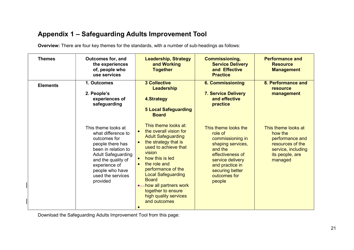# Appendix 1 – Safeguarding Adults Improvement Tool

Overview: There are four key themes for the standards, with a number of sub-headings as follows:

| <b>Themes</b>   | <b>Outcomes for, and</b><br>the experiences<br>of, people who<br>use services                                                                                                                                                | <b>Leadership, Strategy</b><br>and Working<br><b>Together</b>                                                                                                                                                                                                                                                                                    | <b>Commissioning,</b><br><b>Service Delivery</b><br>and Effective<br><b>Practice</b>                                                                                                        | <b>Performance and</b><br><b>Resource</b><br><b>Management</b>                                                            |
|-----------------|------------------------------------------------------------------------------------------------------------------------------------------------------------------------------------------------------------------------------|--------------------------------------------------------------------------------------------------------------------------------------------------------------------------------------------------------------------------------------------------------------------------------------------------------------------------------------------------|---------------------------------------------------------------------------------------------------------------------------------------------------------------------------------------------|---------------------------------------------------------------------------------------------------------------------------|
| <b>Elements</b> | 1. Outcomes<br>2. People's<br>experiences of<br>safeguarding                                                                                                                                                                 | <b>3 Collective</b><br>Leadership<br><b>4.Strategy</b><br><b>5 Local Safeguarding</b><br><b>Board</b>                                                                                                                                                                                                                                            | <b>6. Commissioning</b><br><b>7. Service Delivery</b><br>and effective<br>practice                                                                                                          | 8. Performance and<br><b>resource</b><br>management                                                                       |
|                 | This theme looks at<br>what difference to<br>outcomes for<br>people there has<br>been in relation to<br><b>Adult Safeguarding</b><br>and the quality of<br>experience of<br>people who have<br>used the services<br>provided | This theme looks at:<br>the overall vision for<br><b>Adult Safeguarding</b><br>the strategy that is<br>$\bullet$<br>used to achieve that<br>vision<br>how this is led<br>the role and<br>performance of the<br><b>Local Safeguarding</b><br><b>Board</b><br>how all partners work<br>together to ensure<br>high quality services<br>and outcomes | This theme looks the<br>role of<br>commissioning in<br>shaping services,<br>and the<br>effectiveness of<br>service delivery<br>and practice in<br>securing better<br>outcomes for<br>people | This theme looks at<br>how the<br>performance and<br>resources of the<br>service, including<br>its people, are<br>managed |

Download the Safeguarding Adults Improvement Tool from this page: